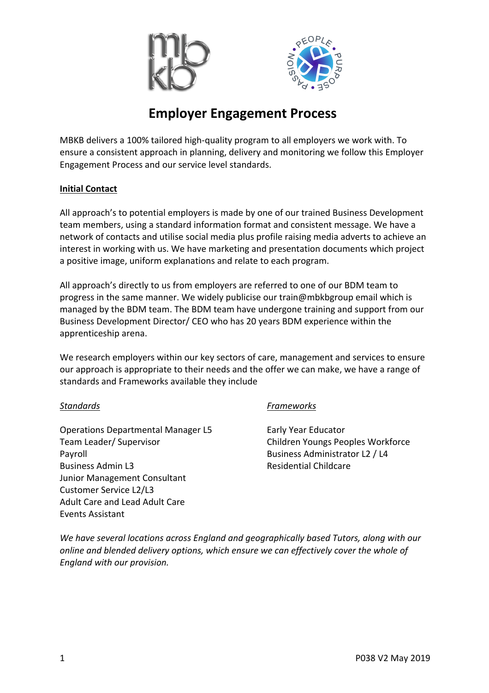



# **Employer Engagement Process**

MBKB delivers a 100% tailored high-quality program to all employers we work with. To ensure a consistent approach in planning, delivery and monitoring we follow this Employer Engagement Process and our service level standards.

### **Initial Contact**

All approach's to potential employers is made by one of our trained Business Development team members, using a standard information format and consistent message. We have a network of contacts and utilise social media plus profile raising media adverts to achieve an interest in working with us. We have marketing and presentation documents which project a positive image, uniform explanations and relate to each program.

All approach's directly to us from employers are referred to one of our BDM team to progress in the same manner. We widely publicise our train@mbkbgroup email which is managed by the BDM team. The BDM team have undergone training and support from our Business Development Director/ CEO who has 20 years BDM experience within the apprenticeship arena.

We research employers within our key sectors of care, management and services to ensure our approach is appropriate to their needs and the offer we can make, we have a range of standards and Frameworks available they include

Operations Departmental Manager L5 Early Year Educator Team Leader/ Supervisor Children Youngs Peoples Workforce Payroll **Business Administrator L2 / L4** Business Admin L3 Residential Childcare Junior Management Consultant Customer Service L2/L3 Adult Care and Lead Adult Care Events Assistant

### *Standards Frameworks*

*We have several locations across England and geographically based Tutors, along with our online and blended delivery options, which ensure we can effectively cover the whole of England with our provision.*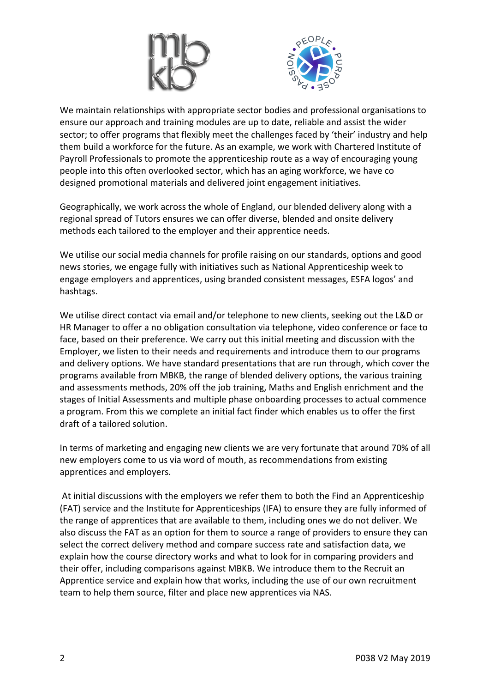



We maintain relationships with appropriate sector bodies and professional organisations to ensure our approach and training modules are up to date, reliable and assist the wider sector; to offer programs that flexibly meet the challenges faced by 'their' industry and help them build a workforce for the future. As an example, we work with Chartered Institute of Payroll Professionals to promote the apprenticeship route as a way of encouraging young people into this often overlooked sector, which has an aging workforce, we have co designed promotional materials and delivered joint engagement initiatives.

Geographically, we work across the whole of England, our blended delivery along with a regional spread of Tutors ensures we can offer diverse, blended and onsite delivery methods each tailored to the employer and their apprentice needs.

We utilise our social media channels for profile raising on our standards, options and good news stories, we engage fully with initiatives such as National Apprenticeship week to engage employers and apprentices, using branded consistent messages, ESFA logos' and hashtags.

We utilise direct contact via email and/or telephone to new clients, seeking out the L&D or HR Manager to offer a no obligation consultation via telephone, video conference or face to face, based on their preference. We carry out this initial meeting and discussion with the Employer, we listen to their needs and requirements and introduce them to our programs and delivery options. We have standard presentations that are run through, which cover the programs available from MBKB, the range of blended delivery options, the various training and assessments methods, 20% off the job training, Maths and English enrichment and the stages of Initial Assessments and multiple phase onboarding processes to actual commence a program. From this we complete an initial fact finder which enables us to offer the first draft of a tailored solution.

In terms of marketing and engaging new clients we are very fortunate that around 70% of all new employers come to us via word of mouth, as recommendations from existing apprentices and employers.

At initial discussions with the employers we refer them to both the Find an Apprenticeship (FAT) service and the Institute for Apprenticeships (IFA) to ensure they are fully informed of the range of apprentices that are available to them, including ones we do not deliver. We also discuss the FAT as an option for them to source a range of providers to ensure they can select the correct delivery method and compare success rate and satisfaction data, we explain how the course directory works and what to look for in comparing providers and their offer, including comparisons against MBKB. We introduce them to the Recruit an Apprentice service and explain how that works, including the use of our own recruitment team to help them source, filter and place new apprentices via NAS.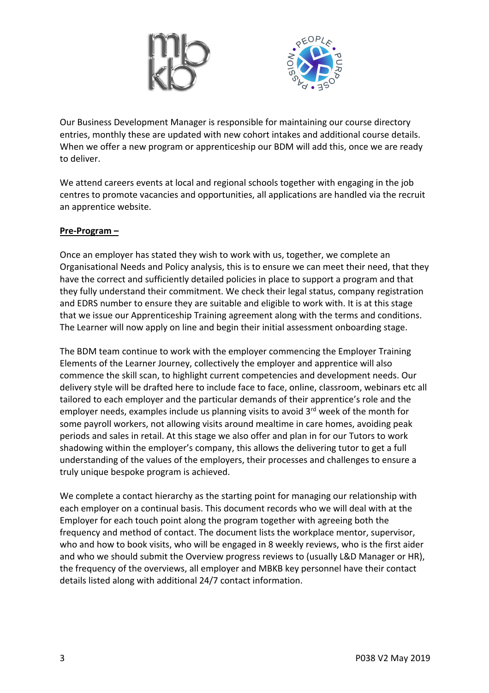



Our Business Development Manager is responsible for maintaining our course directory entries, monthly these are updated with new cohort intakes and additional course details. When we offer a new program or apprenticeship our BDM will add this, once we are ready to deliver.

We attend careers events at local and regional schools together with engaging in the job centres to promote vacancies and opportunities, all applications are handled via the recruit an apprentice website.

### **Pre-Program –**

Once an employer has stated they wish to work with us, together, we complete an Organisational Needs and Policy analysis, this is to ensure we can meet their need, that they have the correct and sufficiently detailed policies in place to support a program and that they fully understand their commitment. We check their legal status, company registration and EDRS number to ensure they are suitable and eligible to work with. It is at this stage that we issue our Apprenticeship Training agreement along with the terms and conditions. The Learner will now apply on line and begin their initial assessment onboarding stage.

The BDM team continue to work with the employer commencing the Employer Training Elements of the Learner Journey, collectively the employer and apprentice will also commence the skill scan, to highlight current competencies and development needs. Our delivery style will be drafted here to include face to face, online, classroom, webinars etc all tailored to each employer and the particular demands of their apprentice's role and the employer needs, examples include us planning visits to avoid  $3<sup>rd</sup>$  week of the month for some payroll workers, not allowing visits around mealtime in care homes, avoiding peak periods and sales in retail. At this stage we also offer and plan in for our Tutors to work shadowing within the employer's company, this allows the delivering tutor to get a full understanding of the values of the employers, their processes and challenges to ensure a truly unique bespoke program is achieved.

We complete a contact hierarchy as the starting point for managing our relationship with each employer on a continual basis. This document records who we will deal with at the Employer for each touch point along the program together with agreeing both the frequency and method of contact. The document lists the workplace mentor, supervisor, who and how to book visits, who will be engaged in 8 weekly reviews, who is the first aider and who we should submit the Overview progress reviews to (usually L&D Manager or HR), the frequency of the overviews, all employer and MBKB key personnel have their contact details listed along with additional 24/7 contact information.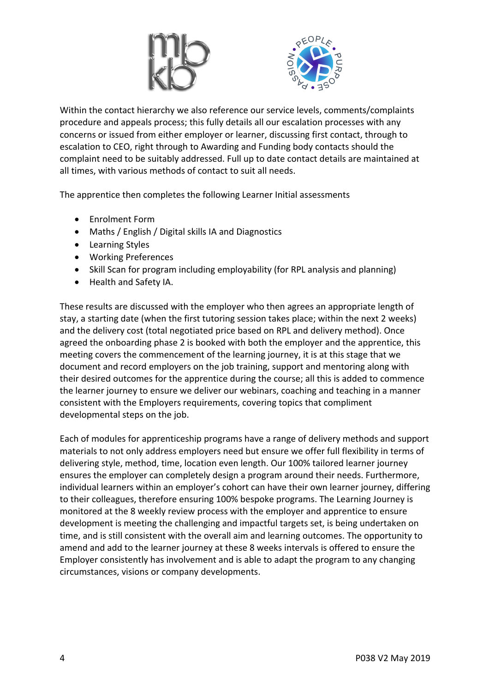



Within the contact hierarchy we also reference our service levels, comments/complaints procedure and appeals process; this fully details all our escalation processes with any concerns or issued from either employer or learner, discussing first contact, through to escalation to CEO, right through to Awarding and Funding body contacts should the complaint need to be suitably addressed. Full up to date contact details are maintained at all times, with various methods of contact to suit all needs.

The apprentice then completes the following Learner Initial assessments

- Enrolment Form
- Maths / English / Digital skills IA and Diagnostics
- Learning Styles
- Working Preferences
- Skill Scan for program including employability (for RPL analysis and planning)
- Health and Safety IA.

These results are discussed with the employer who then agrees an appropriate length of stay, a starting date (when the first tutoring session takes place; within the next 2 weeks) and the delivery cost (total negotiated price based on RPL and delivery method). Once agreed the onboarding phase 2 is booked with both the employer and the apprentice, this meeting covers the commencement of the learning journey, it is at this stage that we document and record employers on the job training, support and mentoring along with their desired outcomes for the apprentice during the course; all this is added to commence the learner journey to ensure we deliver our webinars, coaching and teaching in a manner consistent with the Employers requirements, covering topics that compliment developmental steps on the job.

Each of modules for apprenticeship programs have a range of delivery methods and support materials to not only address employers need but ensure we offer full flexibility in terms of delivering style, method, time, location even length. Our 100% tailored learner journey ensures the employer can completely design a program around their needs. Furthermore, individual learners within an employer's cohort can have their own learner journey, differing to their colleagues, therefore ensuring 100% bespoke programs. The Learning Journey is monitored at the 8 weekly review process with the employer and apprentice to ensure development is meeting the challenging and impactful targets set, is being undertaken on time, and is still consistent with the overall aim and learning outcomes. The opportunity to amend and add to the learner journey at these 8 weeks intervals is offered to ensure the Employer consistently has involvement and is able to adapt the program to any changing circumstances, visions or company developments.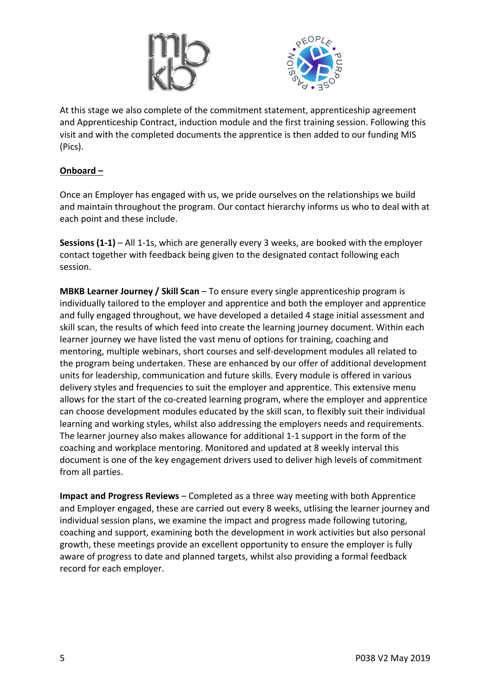



At this stage we also complete of the commitment statement, apprenticeship agreement and Apprenticeship Contract, induction module and the first training session. Following this visit and with the completed documents the apprentice is then added to our funding MIS (Pics).

## **Onboard –**

Once an Employer has engaged with us, we pride ourselves on the relationships we build and maintain throughout the program. Our contact hierarchy informs us who to deal with at each point and these include.

**Sessions (1-1)** – All 1-1s, which are generally every 3 weeks, are booked with the employer contact together with feedback being given to the designated contact following each session.

**MBKB Learner Journey / Skill Scan** – To ensure every single apprenticeship program is individually tailored to the employer and apprentice and both the employer and apprentice and fully engaged throughout, we have developed a detailed 4 stage initial assessment and skill scan, the results of which feed into create the learning journey document. Within each learner journey we have listed the vast menu of options for training, coaching and mentoring, multiple webinars, short courses and self-development modules all related to the program being undertaken. These are enhanced by our offer of additional development units for leadership, communication and future skills. Every module is offered in various delivery styles and frequencies to suit the employer and apprentice. This extensive menu allows for the start of the co-created learning program, where the employer and apprentice can choose development modules educated by the skill scan, to flexibly suit their individual learning and working styles, whilst also addressing the employers needs and requirements. The learner journey also makes allowance for additional 1-1 support in the form of the coaching and workplace mentoring. Monitored and updated at 8 weekly interval this document is one of the key engagement drivers used to deliver high levels of commitment from all parties.

**Impact and Progress Reviews** – Completed as a three way meeting with both Apprentice and Employer engaged, these are carried out every 8 weeks, utlising the learner journey and individual session plans, we examine the impact and progress made following tutoring, coaching and support, examining both the development in work activities but also personal growth, these meetings provide an excellent opportunity to ensure the employer is fully aware of progress to date and planned targets, whilst also providing a formal feedback record for each employer.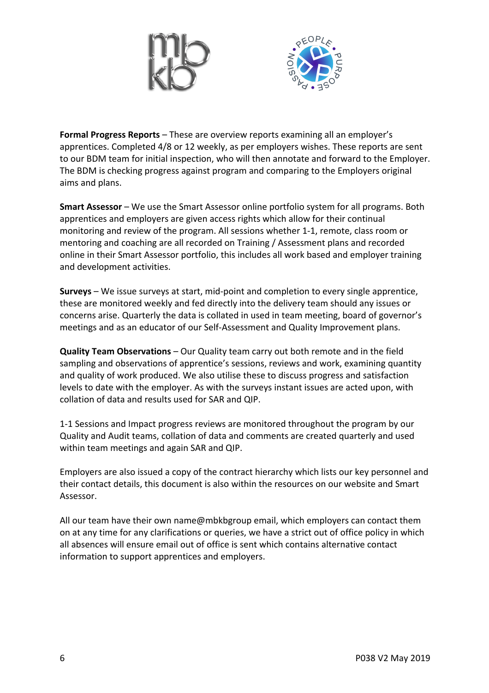



**Formal Progress Reports** – These are overview reports examining all an employer's apprentices. Completed 4/8 or 12 weekly, as per employers wishes. These reports are sent to our BDM team for initial inspection, who will then annotate and forward to the Employer. The BDM is checking progress against program and comparing to the Employers original aims and plans.

**Smart Assessor** – We use the Smart Assessor online portfolio system for all programs. Both apprentices and employers are given access rights which allow for their continual monitoring and review of the program. All sessions whether 1-1, remote, class room or mentoring and coaching are all recorded on Training / Assessment plans and recorded online in their Smart Assessor portfolio, this includes all work based and employer training and development activities.

**Surveys** – We issue surveys at start, mid-point and completion to every single apprentice, these are monitored weekly and fed directly into the delivery team should any issues or concerns arise. Quarterly the data is collated in used in team meeting, board of governor's meetings and as an educator of our Self-Assessment and Quality Improvement plans.

**Quality Team Observations** – Our Quality team carry out both remote and in the field sampling and observations of apprentice's sessions, reviews and work, examining quantity and quality of work produced. We also utilise these to discuss progress and satisfaction levels to date with the employer. As with the surveys instant issues are acted upon, with collation of data and results used for SAR and QIP.

1-1 Sessions and Impact progress reviews are monitored throughout the program by our Quality and Audit teams, collation of data and comments are created quarterly and used within team meetings and again SAR and QIP.

Employers are also issued a copy of the contract hierarchy which lists our key personnel and their contact details, this document is also within the resources on our website and Smart Assessor.

All our team have their own name@mbkbgroup email, which employers can contact them on at any time for any clarifications or queries, we have a strict out of office policy in which all absences will ensure email out of office is sent which contains alternative contact information to support apprentices and employers.